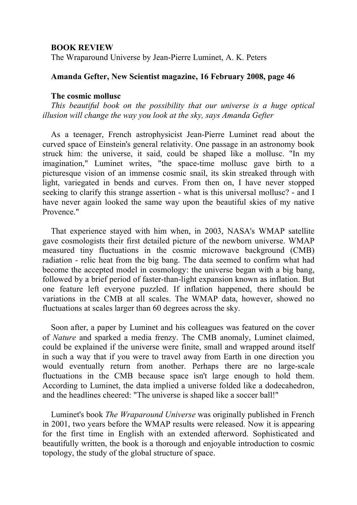# **BOOK REVIEW**

The Wraparound Universe by Jean-Pierre Luminet, A. K. Peters

# **Amanda Gefter, New Scientist magazine, 16 February 2008, page 46**

# **The cosmic mollusc**

*This beautiful book on the possibility that our universe is a huge optical illusion will change the way you look at the sky, says Amanda Gefter*

As a teenager, French astrophysicist Jean-Pierre Luminet read about the curved space of Einstein's general relativity. One passage in an astronomy book struck him: the universe, it said, could be shaped like a mollusc. "In my imagination," Luminet writes, "the space-time mollusc gave birth to a picturesque vision of an immense cosmic snail, its skin streaked through with light, variegated in bends and curves. From then on, I have never stopped seeking to clarify this strange assertion - what is this universal mollusc? - and I have never again looked the same way upon the beautiful skies of my native Provence<sup>"</sup>

That experience stayed with him when, in 2003, NASA's WMAP satellite gave cosmologists their first detailed picture of the newborn universe. WMAP measured tiny fluctuations in the cosmic microwave background (CMB) radiation - relic heat from the big bang. The data seemed to confirm what had become the accepted model in cosmology: the universe began with a big bang, followed by a brief period of faster-than-light expansion known as inflation. But one feature left everyone puzzled. If inflation happened, there should be variations in the CMB at all scales. The WMAP data, however, showed no fluctuations at scales larger than 60 degrees across the sky.

Soon after, a paper by Luminet and his colleagues was featured on the cover of *Nature* and sparked a media frenzy. The CMB anomaly, Luminet claimed, could be explained if the universe were finite, small and wrapped around itself in such a way that if you were to travel away from Earth in one direction you would eventually return from another. Perhaps there are no large-scale fluctuations in the CMB because space isn't large enough to hold them. According to Luminet, the data implied a universe folded like a dodecahedron, and the headlines cheered: "The universe is shaped like a soccer ball!"

Luminet's book *The Wraparound Universe* was originally published in French in 2001, two years before the WMAP results were released. Now it is appearing for the first time in English with an extended afterword. Sophisticated and beautifully written, the book is a thorough and enjoyable introduction to cosmic topology, the study of the global structure of space.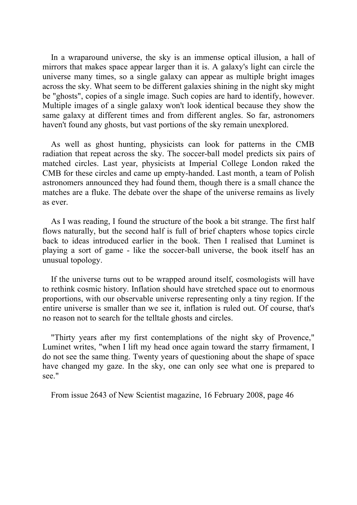In a wraparound universe, the sky is an immense optical illusion, a hall of mirrors that makes space appear larger than it is. A galaxy's light can circle the universe many times, so a single galaxy can appear as multiple bright images across the sky. What seem to be different galaxies shining in the night sky might be "ghosts", copies of a single image. Such copies are hard to identify, however. Multiple images of a single galaxy won't look identical because they show the same galaxy at different times and from different angles. So far, astronomers haven't found any ghosts, but vast portions of the sky remain unexplored.

As well as ghost hunting, physicists can look for patterns in the CMB radiation that repeat across the sky. The soccer-ball model predicts six pairs of matched circles. Last year, physicists at Imperial College London raked the CMB for these circles and came up empty-handed. Last month, a team of Polish astronomers announced they had found them, though there is a small chance the matches are a fluke. The debate over the shape of the universe remains as lively as ever.

As I was reading, I found the structure of the book a bit strange. The first half flows naturally, but the second half is full of brief chapters whose topics circle back to ideas introduced earlier in the book. Then I realised that Luminet is playing a sort of game - like the soccer-ball universe, the book itself has an unusual topology.

If the universe turns out to be wrapped around itself, cosmologists will have to rethink cosmic history. Inflation should have stretched space out to enormous proportions, with our observable universe representing only a tiny region. If the entire universe is smaller than we see it, inflation is ruled out. Of course, that's no reason not to search for the telltale ghosts and circles.

"Thirty years after my first contemplations of the night sky of Provence," Luminet writes, "when I lift my head once again toward the starry firmament, I do not see the same thing. Twenty years of questioning about the shape of space have changed my gaze. In the sky, one can only see what one is prepared to see."

From issue 2643 of New Scientist magazine, 16 February 2008, page 46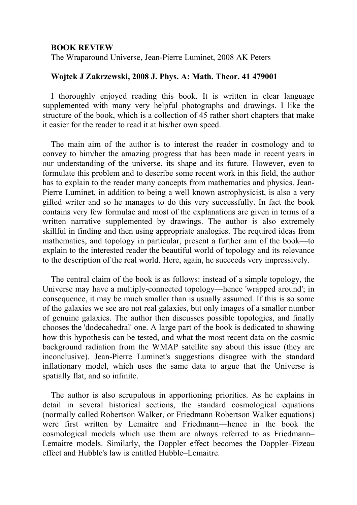## **BOOK REVIEW**

The Wraparound Universe, Jean-Pierre Luminet, 2008 AK Peters

# **Wojtek J Zakrzewski, 2008 J. Phys. A: Math. Theor. 41 479001**

I thoroughly enjoyed reading this book. It is written in clear language supplemented with many very helpful photographs and drawings. I like the structure of the book, which is a collection of 45 rather short chapters that make it easier for the reader to read it at his/her own speed.

The main aim of the author is to interest the reader in cosmology and to convey to him/her the amazing progress that has been made in recent years in our understanding of the universe, its shape and its future. However, even to formulate this problem and to describe some recent work in this field, the author has to explain to the reader many concepts from mathematics and physics. Jean-Pierre Luminet, in addition to being a well known astrophysicist, is also a very gifted writer and so he manages to do this very successfully. In fact the book contains very few formulae and most of the explanations are given in terms of a written narrative supplemented by drawings. The author is also extremely skillful in finding and then using appropriate analogies. The required ideas from mathematics, and topology in particular, present a further aim of the book—to explain to the interested reader the beautiful world of topology and its relevance to the description of the real world. Here, again, he succeeds very impressively.

The central claim of the book is as follows: instead of a simple topology, the Universe may have a multiply-connected topology—hence 'wrapped around'; in consequence, it may be much smaller than is usually assumed. If this is so some of the galaxies we see are not real galaxies, but only images of a smaller number of genuine galaxies. The author then discusses possible topologies, and finally chooses the 'dodecahedral' one. A large part of the book is dedicated to showing how this hypothesis can be tested, and what the most recent data on the cosmic background radiation from the WMAP satellite say about this issue (they are inconclusive). Jean-Pierre Luminet's suggestions disagree with the standard inflationary model, which uses the same data to argue that the Universe is spatially flat, and so infinite.

The author is also scrupulous in apportioning priorities. As he explains in detail in several historical sections, the standard cosmological equations (normally called Robertson Walker, or Friedmann Robertson Walker equations) were first written by Lemaitre and Friedmann—hence in the book the cosmological models which use them are always referred to as Friedmann– Lemaitre models. Similarly, the Doppler effect becomes the Doppler–Fizeau effect and Hubble's law is entitled Hubble–Lemaitre.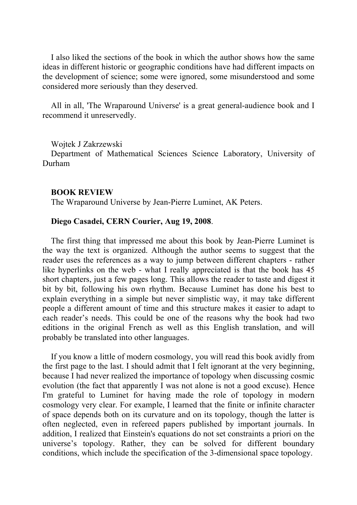I also liked the sections of the book in which the author shows how the same ideas in different historic or geographic conditions have had different impacts on the development of science; some were ignored, some misunderstood and some considered more seriously than they deserved.

All in all, 'The Wraparound Universe' is a great general-audience book and I recommend it unreservedly.

Wojtek J Zakrzewski

Department of Mathematical Sciences Science Laboratory, University of Durham

# **BOOK REVIEW**

The Wraparound Universe by Jean-Pierre Luminet, AK Peters.

# **Diego Casadei, CERN Courier, Aug 19, 2008**.

The first thing that impressed me about this book by Jean-Pierre Luminet is the way the text is organized. Although the author seems to suggest that the reader uses the references as a way to jump between different chapters - rather like hyperlinks on the web - what I really appreciated is that the book has 45 short chapters, just a few pages long. This allows the reader to taste and digest it bit by bit, following his own rhythm. Because Luminet has done his best to explain everything in a simple but never simplistic way, it may take different people a different amount of time and this structure makes it easier to adapt to each reader's needs. This could be one of the reasons why the book had two editions in the original French as well as this English translation, and will probably be translated into other languages.

If you know a little of modern cosmology, you will read this book avidly from the first page to the last. I should admit that I felt ignorant at the very beginning, because I had never realized the importance of topology when discussing cosmic evolution (the fact that apparently I was not alone is not a good excuse). Hence I'm grateful to Luminet for having made the role of topology in modern cosmology very clear. For example, I learned that the finite or infinite character of space depends both on its curvature and on its topology, though the latter is often neglected, even in refereed papers published by important journals. In addition, I realized that Einstein's equations do not set constraints a priori on the universe's topology. Rather, they can be solved for different boundary conditions, which include the specification of the 3-dimensional space topology.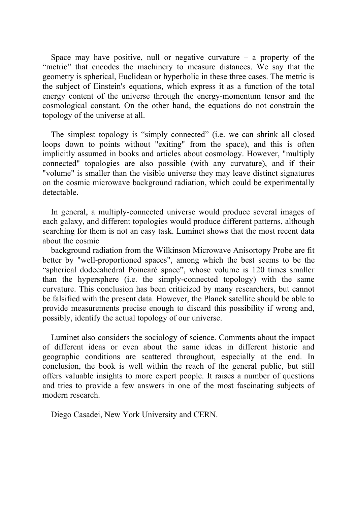Space may have positive, null or negative curvature  $-$  a property of the "metric" that encodes the machinery to measure distances. We say that the geometry is spherical, Euclidean or hyperbolic in these three cases. The metric is the subject of Einstein's equations, which express it as a function of the total energy content of the universe through the energy-momentum tensor and the cosmological constant. On the other hand, the equations do not constrain the topology of the universe at all.

The simplest topology is "simply connected" (i.e. we can shrink all closed loops down to points without "exiting" from the space), and this is often implicitly assumed in books and articles about cosmology. However, "multiply connected" topologies are also possible (with any curvature), and if their "volume" is smaller than the visible universe they may leave distinct signatures on the cosmic microwave background radiation, which could be experimentally detectable.

In general, a multiply-connected universe would produce several images of each galaxy, and different topologies would produce different patterns, although searching for them is not an easy task. Luminet shows that the most recent data about the cosmic

background radiation from the Wilkinson Microwave Anisortopy Probe are fit better by "well-proportioned spaces", among which the best seems to be the "spherical dodecahedral Poincaré space", whose volume is 120 times smaller than the hypersphere (i.e. the simply-connected topology) with the same curvature. This conclusion has been criticized by many researchers, but cannot be falsified with the present data. However, the Planck satellite should be able to provide measurements precise enough to discard this possibility if wrong and, possibly, identify the actual topology of our universe.

Luminet also considers the sociology of science. Comments about the impact of different ideas or even about the same ideas in different historic and geographic conditions are scattered throughout, especially at the end. In conclusion, the book is well within the reach of the general public, but still offers valuable insights to more expert people. It raises a number of questions and tries to provide a few answers in one of the most fascinating subjects of modern research.

Diego Casadei, New York University and CERN.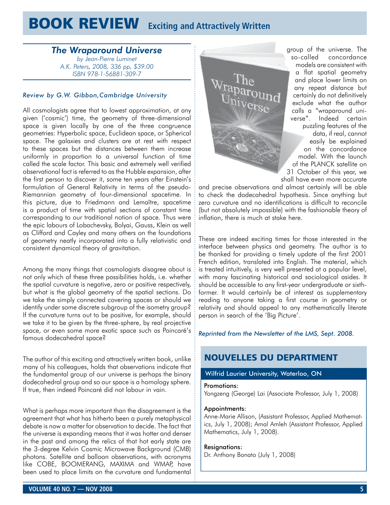# **BOOK REVIEW** Exciting and Attractively Written

# *The Wraparound Universe*

*by Jean-Pierre Luminet A.K. Peters, 2008, 336 pp, \$39.00 ISBN 978-1-56881-309-7*

### *Review by G.W. Gibbon,Cambridge University*

All cosmologists agree that to lowest approximation, at any given ('cosmic') time, the geometry of three-dimensional space is given locally by one of the three congruence geometries: Hyperbolic space, Euclidean space, or Spherical space. The galaxies and clusters are at rest with respect to these spaces but the distances between them increase uniformly in proportion to a universal function of time called the scale factor. This basic and extremely well verified observational fact is referred to as the Hubble expansion, after the first person to discover it, some ten years after Einstein's formulation of General Relativity in terms of the pseudo-Riemannian geometry of four-dimensional spacetime. In this picture, due to Friedmann and Lemaître, spacetime is a product of time with spatial sections of constant time corresponding to our traditional notion of space. Thus were the epic labours of Lobachevsky, Bolyai, Gauss, Klein as well as Clifford and Cayley and many others on the foundations of geometry neatly incorporated into a fully relativistic and consistent dynamical theory of gravitation.

Among the many things that cosmologists disagree about is not only which of these three possibilities holds, i.e. whether the spatial curvature is negative, zero or positive respectively, but what is the global geometry of the spatial sections. Do we take the simply connected covering spaces or should we identify under some discrete subgroup of the isometry group? If the curvature turns out to be positive, for example, should we take it to be given by the three-sphere, by real projective space, or even some more exotic space such as Poincaré's famous dodecahedral space?

The author of this exciting and attractively written book, unlike many of his colleagues, holds that observations indicate that the fundamental group of our universe is perhaps the binary dodecahedral group and so our space is a homology sphere. If true, then indeed Poincaré did not labour in vain.

What is perhaps more important than the disagreement is the agreement that what has hitherto been a purely metaphysical debate is now a matter for observation to decide. The fact that the universe is expanding means that it was hotter and denser in the past and among the relics of that hot early state are the 3-degree Kelvin Cosmic Microwave Background (CMB) photons. Satellite and balloon observations, with acronyms like COBE, BOOMERANG, MAXIMA and WMAP, have been used to place limits on the curvature and fundamental



group of the universe. The so-called concordance models are consistent with a flat spatial geometry and place lower limits on any repeat distance but certainly do not definitively exclude what the author calls a "wraparound universe". Indeed certain puzzling features of the data, if real, cannot easily be explained on the concordance model. With the launch of the PLANCK satellite on 31 October of this year, we shall have even more accurate

and precise observations and almost certainly will be able to check the dodecahedral hypothesis. Since anything but zero curvature and no identifications is difficult to reconcile (but not absolutely impossible) with the fashionable theory of inflation, there is much at stake here.

These are indeed exciting times for those interested in the interface between physics and geometry. The author is to be thanked for providing a timely update of the first 2001 French edition, translated into English. The material, which is treated intuitively, is very well presented at a popular level, with many fascinating historical and sociological asides. It should be accessible to any first-year undergraduate or sixthformer. It would certainly be of interest as supplementary reading to anyone taking a first course in geometry or relativity and should appeal to any mathematically literate person in search of the 'Big Picture'.

## *Reprinted from the Newsletter of the LMS, Sept. 2008.*

# NOUVELLES DU DEPARTMENT

## Wilfrid Laurier University, Waterloo, ON

#### Promotions:

Yongzeng (George) Lai (Associate Professor, July 1, 2008)

#### Appointments:

Anne-Marie Allison, (Assistant Professor, Applied Mathematics, July 1, 2008); Amal Amleh (Assistant Professor, Applied Mathematics, July 1, 2008).

#### Resignations:

Dr. Anthony Bonato (July 1, 2008)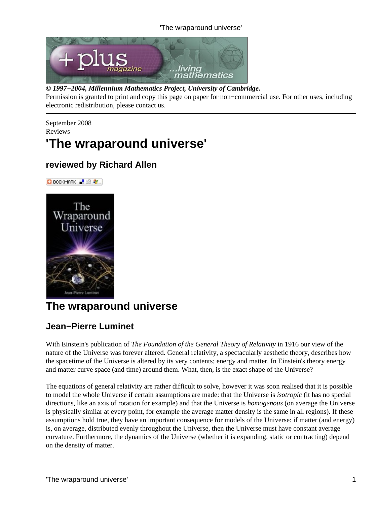## 'The wraparound universe'



## *© 1997−2004, Millennium Mathematics Project, University of Cambridge.*

Permission is granted to print and copy this page on paper for non−commercial use. For other uses, including electronic redistribution, please contact us.

September 2008 Reviews

# **'The wraparound universe'**

# **reviewed by Richard Allen**



# **The wraparound universe**

# **Jean−Pierre Luminet**

With Einstein's publication of *The Foundation of the General Theory of Relativity* in 1916 our view of the nature of the Universe was forever altered. General relativity, a spectacularly aesthetic theory, describes how the spacetime of the Universe is altered by its very contents; energy and matter. In Einstein's theory energy and matter curve space (and time) around them. What, then, is the exact shape of the Universe?

The equations of general relativity are rather difficult to solve, however it was soon realised that it is possible to model the whole Universe if certain assumptions are made: that the Universe is *isotropic* (it has no special directions, like an axis of rotation for example) and that the Universe is *homogenous* (on average the Universe is physically similar at every point, for example the average matter density is the same in all regions). If these assumptions hold true, they have an important consequence for models of the Universe: if matter (and energy) is, on average, distributed evenly throughout the Universe, then the Universe must have constant average curvature. Furthermore, the dynamics of the Universe (whether it is expanding, static or contracting) depend on the density of matter.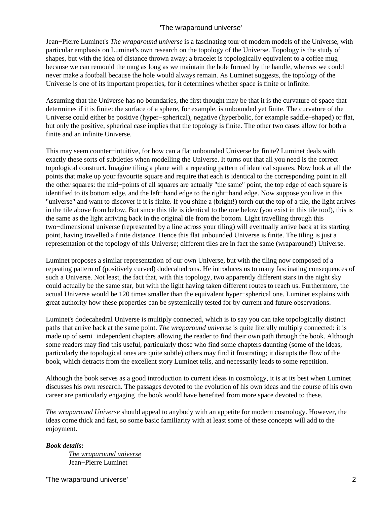## 'The wraparound universe'

Jean−Pierre Luminet's *The wraparound universe* is a fascinating tour of modern models of the Universe, with particular emphasis on Luminet's own research on the topology of the Universe. Topology is the study of shapes, but with the idea of distance thrown away; a bracelet is topologically equivalent to a coffee mug because we can remould the mug as long as we maintain the hole formed by the handle, whereas we could never make a football because the hole would always remain. As Luminet suggests, the topology of the Universe is one of its important properties, for it determines whether space is finite or infinite.

Assuming that the Universe has no boundaries, the first thought may be that it is the curvature of space that determines if it is finite: the surface of a sphere, for example, is unbounded yet finite. The curvature of the Universe could either be positive (hyper−spherical), negative (hyperbolic, for example saddle−shaped) or flat, but only the positive, spherical case implies that the topology is finite. The other two cases allow for both a finite and an infinite Universe.

This may seem counter−intuitive, for how can a flat unbounded Universe be finite? Luminet deals with exactly these sorts of subtleties when modelling the Universe. It turns out that all you need is the correct topological construct. Imagine tiling a plane with a repeating pattern of identical squares. Now look at all the points that make up your favourite square and require that each is identical to the corresponding point in all the other squares: the mid−points of all squares are actually "the same" point, the top edge of each square is identified to its bottom edge, and the left−hand edge to the right−hand edge. Now suppose you live in this "universe" and want to discover if it is finite. If you shine a (bright!) torch out the top of a tile, the light arrives in the tile above from below. But since this tile is identical to the one below (you exist in this tile too!), this is the same as the light arriving back in the original tile from the bottom. Light travelling through this two−dimensional universe (represented by a line across your tiling) will eventually arrive back at its starting point, having travelled a finite distance. Hence this flat unbounded Universe is finite. The tiling is just a representation of the topology of this Universe; different tiles are in fact the same (wraparound!) Universe.

Luminet proposes a similar representation of our own Universe, but with the tiling now composed of a repeating pattern of (positively curved) dodecahedrons. He introduces us to many fascinating consequences of such a Universe. Not least, the fact that, with this topology, two apparently different stars in the night sky could actually be the same star, but with the light having taken different routes to reach us. Furthermore, the actual Universe would be 120 times smaller than the equivalent hyper−spherical one. Luminet explains with great authority how these properties can be systemically tested for by current and future observations.

Luminet's dodecahedral Universe is multiply connected, which is to say you can take topologically distinct paths that arrive back at the same point. *The wraparound universe* is quite literally multiply connected: it is made up of semi−independent chapters allowing the reader to find their own path through the book. Although some readers may find this useful, particularly those who find some chapters daunting (some of the ideas, particularly the topological ones are quite subtle) others may find it frustrating; it disrupts the flow of the book, which detracts from the excellent story Luminet tells, and necessarily leads to some repetition.

Although the book serves as a good introduction to current ideas in cosmology, it is at its best when Luminet discusses his own research. The passages devoted to the evolution of his own ideas and the course of his own career are particularly engaging the book would have benefited from more space devoted to these.

*The wraparound Universe* should appeal to anybody with an appetite for modern cosmology. However, the ideas come thick and fast, so some basic familiarity with at least some of these concepts will add to the enjoyment.

## *Book details:*

*[The wraparound universe](http://www.amazon.co.uk/Wraparound-Universe-Jean-Pierre-Luminet/dp/1568813090/ref=sr_1_1?ie=UTF8&s=books&qid=1220520324&sr=1-1)* Jean−Pierre Luminet

'The wraparound universe' 2